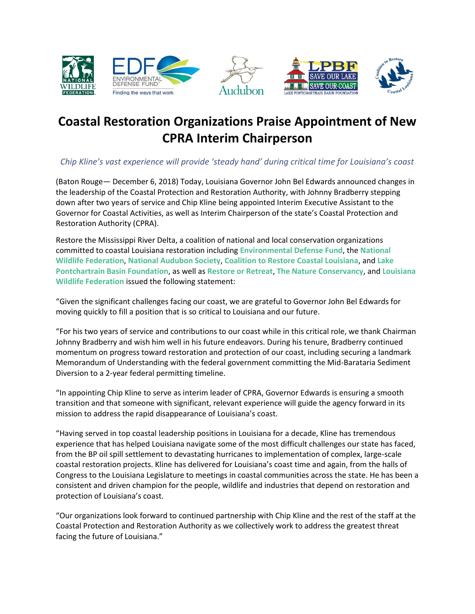





## **Coastal Restoration Organizations Praise Appointment of New CPRA Interim Chairperson**

## *Chip Kline's vast experience will provide 'steady hand' during critical time for Louisiana's coast*

(Baton Rouge— December 6, 2018) Today, Louisiana Governor John Bel Edwards announced changes in the leadership of the Coastal Protection and Restoration Authority, with Johnny Bradberry stepping down after two years of service and Chip Kline being appointed Interim Executive Assistant to the Governor for Coastal Activities, as well as Interim Chairperson of the state's Coastal Protection and Restoration Authority (CPRA).

Restore the Mississippi River Delta, a coalition of national and local conservation organizations committed to coastal Louisiana restoration including **[Environmental Defense Fund](http://www.edf.org/?conversion_pg=mississippiriverdelta.org%2Fcoastal-restoration-organizations-praise-appointment-of-new-cpra-interim-chairperson%2F&landing_pg=mississippiriverdelta.org%2Fa-quick-jaunt-from-new-orleans-reveals-the-opportunity-to-restore-louisianas-coast%2F&landing_pg_1st_visit=mississippiriverdelta.org%2Fa-quick-jaunt-from-new-orleans-reveals-the-opportunity-to-restore-louisianas-coast%2F&source_1st_visit=www.google.com&subsource_1st_visit=%2F&custom_source=www.google.com&custom_sub_source=%2F&custom_transfer=1544199823678)**, the **[National](http://www.nwf.org/)  [Wildlife Federation](http://www.nwf.org/)**, **[National Audubon Society](http://www.audubon.org/)**, **[Coalition to Restore Coastal Louisiana](http://www.crcl.org/)**, and **[Lake](http://www.saveourlake.org/)  [Pontchartrain Basin Foundation](http://www.saveourlake.org/)**, as well as **[Restore or Retreat](http://www.restoreorretreat.org/)**, **[The Nature Conservancy](http://www.nature.org/)**, and **[Louisiana](http://www.lawildlifefed.org/)  [Wildlife Federation](http://www.lawildlifefed.org/)** issued the following statement:

"Given the significant challenges facing our coast, we are grateful to Governor John Bel Edwards for moving quickly to fill a position that is so critical to Louisiana and our future.

"For his two years of service and contributions to our coast while in this critical role, we thank Chairman Johnny Bradberry and wish him well in his future endeavors. During his tenure, Bradberry continued momentum on progress toward restoration and protection of our coast, including securing a landmark Memorandum of Understanding with the federal government committing the Mid-Barataria Sediment Diversion to a 2-year federal permitting timeline.

"In appointing Chip Kline to serve as interim leader of CPRA, Governor Edwards is ensuring a smooth transition and that someone with significant, relevant experience will guide the agency forward in its mission to address the rapid disappearance of Louisiana's coast.

"Having served in top coastal leadership positions in Louisiana for a decade, Kline has tremendous experience that has helped Louisiana navigate some of the most difficult challenges our state has faced, from the BP oil spill settlement to devastating hurricanes to implementation of complex, large-scale coastal restoration projects. Kline has delivered for Louisiana's coast time and again, from the halls of Congress to the Louisiana Legislature to meetings in coastal communities across the state. He has been a consistent and driven champion for the people, wildlife and industries that depend on restoration and protection of Louisiana's coast.

"Our organizations look forward to continued partnership with Chip Kline and the rest of the staff at the Coastal Protection and Restoration Authority as we collectively work to address the greatest threat facing the future of Louisiana."